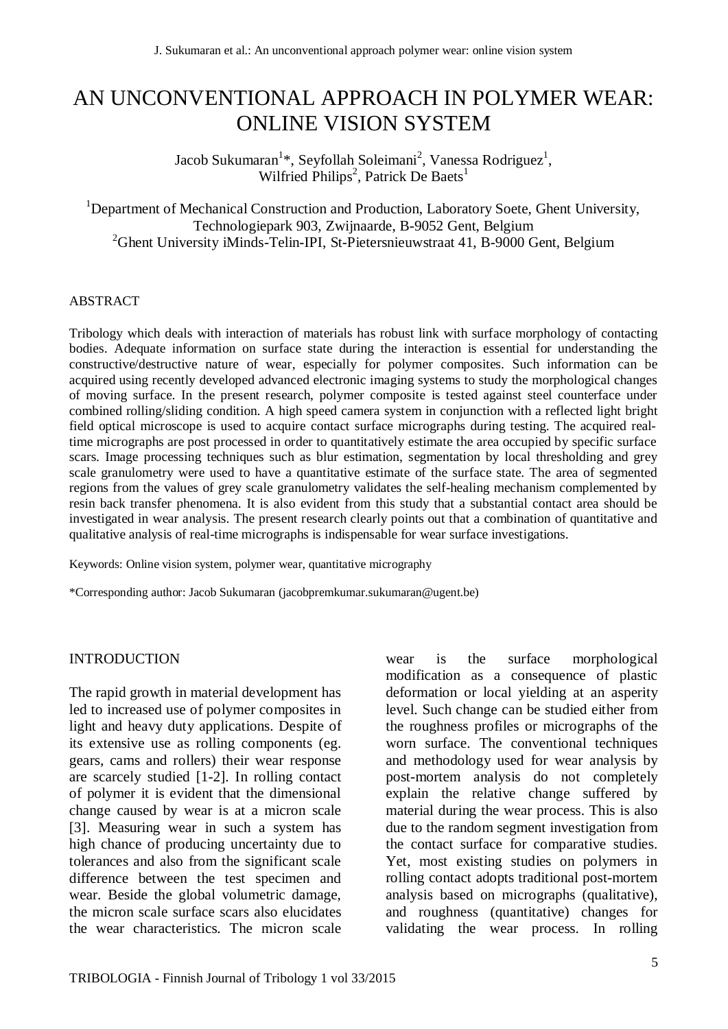# AN UNCONVENTIONAL APPROACH IN POLYMER WEAR: ONLINE VISION SYSTEM

Jacob Sukumaran $^{1*}$ , Seyfollah Soleimani $^{2}$ , Vanessa Rodriguez $^{1},$ Wilfried Philips<sup>2</sup>, Patrick De Baets<sup>1</sup>

<sup>1</sup>Department of Mechanical Construction and Production, Laboratory Soete, Ghent University, Technologiepark 903, Zwijnaarde, B-9052 Gent, Belgium <sup>2</sup>Ghent University iMinds-Telin-IPI, St-Pietersnieuwstraat 41, B-9000 Gent, Belgium

#### ABSTRACT

Tribology which deals with interaction of materials has robust link with surface morphology of contacting bodies. Adequate information on surface state during the interaction is essential for understanding the constructive/destructive nature of wear, especially for polymer composites. Such information can be acquired using recently developed advanced electronic imaging systems to study the morphological changes of moving surface. In the present research, polymer composite is tested against steel counterface under combined rolling/sliding condition. A high speed camera system in conjunction with a reflected light bright field optical microscope is used to acquire contact surface micrographs during testing. The acquired realtime micrographs are post processed in order to quantitatively estimate the area occupied by specific surface scars. Image processing techniques such as blur estimation, segmentation by local thresholding and grey scale granulometry were used to have a quantitative estimate of the surface state. The area of segmented regions from the values of grey scale granulometry validates the self-healing mechanism complemented by resin back transfer phenomena. It is also evident from this study that a substantial contact area should be investigated in wear analysis. The present research clearly points out that a combination of quantitative and qualitative analysis of real-time micrographs is indispensable for wear surface investigations.

Keywords: Online vision system, polymer wear, quantitative micrography

\*Corresponding author: Jacob Sukumaran (jacobpremkumar.sukumaran@ugent.be)

#### INTRODUCTION

The rapid growth in material development has led to increased use of polymer composites in light and heavy duty applications. Despite of its extensive use as rolling components (eg. gears, cams and rollers) their wear response are scarcely studied [1-2]. In rolling contact of polymer it is evident that the dimensional change caused by wear is at a micron scale [3]. Measuring wear in such a system has high chance of producing uncertainty due to tolerances and also from the significant scale difference between the test specimen and wear. Beside the global volumetric damage, the micron scale surface scars also elucidates the wear characteristics. The micron scale

wear is the surface morphological modification as a consequence of plastic deformation or local yielding at an asperity level. Such change can be studied either from the roughness profiles or micrographs of the worn surface. The conventional techniques and methodology used for wear analysis by post-mortem analysis do not completely explain the relative change suffered by material during the wear process. This is also due to the random segment investigation from the contact surface for comparative studies. Yet, most existing studies on polymers in rolling contact adopts traditional post-mortem analysis based on micrographs (qualitative), and roughness (quantitative) changes for validating the wear process. In rolling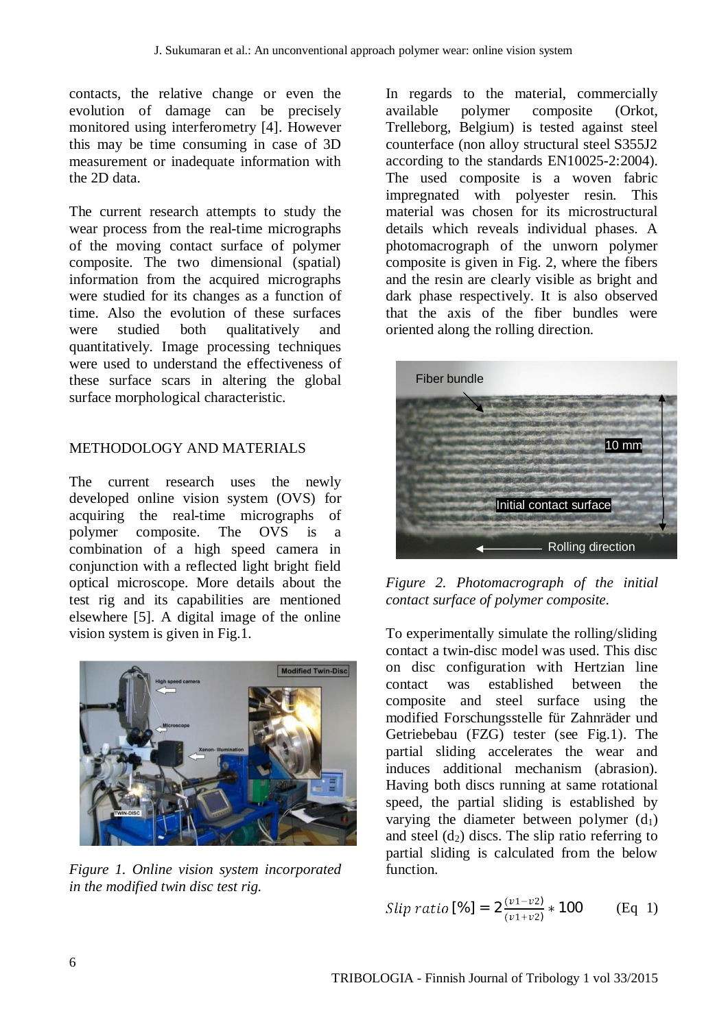contacts, the relative change or even the evolution of damage can be precisely monitored using interferometry [4]. However this may be time consuming in case of 3D measurement or inadequate information with the 2D data.

The current research attempts to study the wear process from the real-time micrographs of the moving contact surface of polymer composite. The two dimensional (spatial) information from the acquired micrographs were studied for its changes as a function of time. Also the evolution of these surfaces were studied both qualitatively and quantitatively. Image processing techniques were used to understand the effectiveness of these surface scars in altering the global surface morphological characteristic.

# METHODOLOGY AND MATERIALS

The current research uses the newly developed online vision system (OVS) for acquiring the real-time micrographs of polymer composite. The OVS is a combination of a high speed camera in conjunction with a reflected light bright field optical microscope. More details about the test rig and its capabilities are mentioned elsewhere [5]. A digital image of the online vision system is given in Fig.1.



*Figure 1. Online vision system incorporated in the modified twin disc test rig.*

In regards to the material, commercially available polymer composite (Orkot, Trelleborg, Belgium) is tested against steel counterface (non alloy structural steel S355J2 according to the standards EN10025-2:2004). The used composite is a woven fabric impregnated with polyester resin. This material was chosen for its microstructural details which reveals individual phases. A photomacrograph of the unworn polymer composite is given in Fig. 2, where the fibers and the resin are clearly visible as bright and dark phase respectively. It is also observed that the axis of the fiber bundles were oriented along the rolling direction.



*Figure 2. Photomacrograph of the initial contact surface of polymer composite.*

To experimentally simulate the rolling/sliding contact a twin-disc model was used. This disc on disc configuration with Hertzian line contact was established between the composite and steel surface using the modified Forschungsstelle für Zahnräder und Getriebebau (FZG) tester (see Fig.1). The partial sliding accelerates the wear and induces additional mechanism (abrasion). Having both discs running at same rotational speed, the partial sliding is established by varying the diameter between polymer  $(d_1)$ and steel  $(d_2)$  discs. The slip ratio referring to partial sliding is calculated from the below function.

*Slip ratio* [%] = 
$$
2 \frac{(v1 - v2)}{(v1 + v2)}
$$
 \* 100 (Eq 1)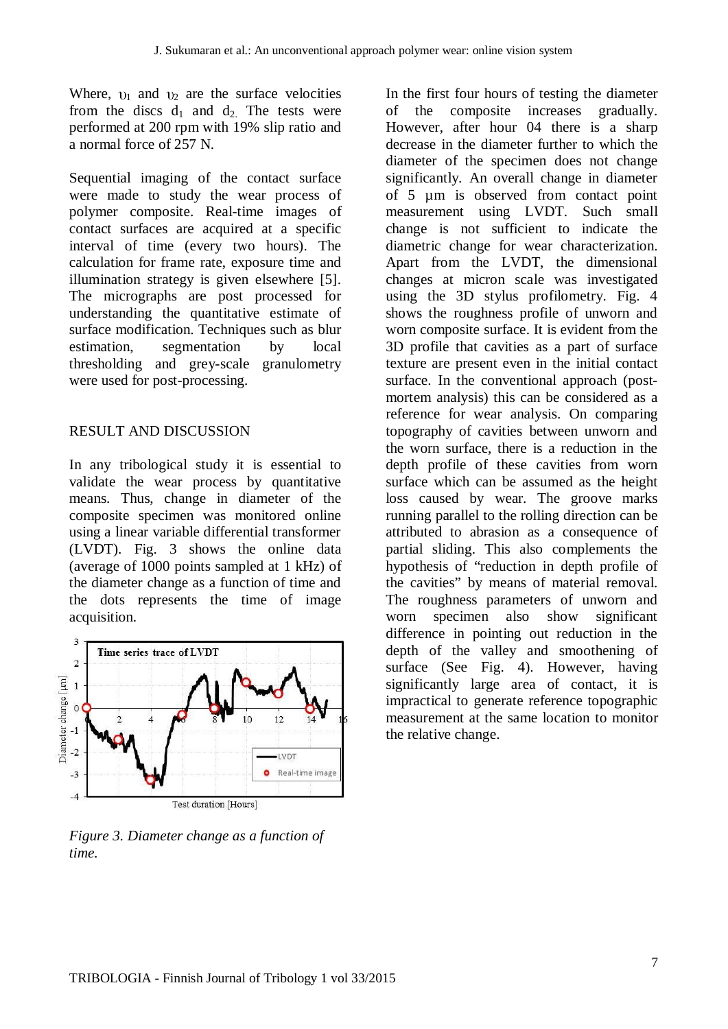Where,  $v_1$  and  $v_2$  are the surface velocities from the discs  $d_1$  and  $d_2$ . The tests were performed at 200 rpm with 19% slip ratio and a normal force of 257 N.

Sequential imaging of the contact surface were made to study the wear process of polymer composite. Real-time images of contact surfaces are acquired at a specific interval of time (every two hours). The calculation for frame rate, exposure time and illumination strategy is given elsewhere [5]. The micrographs are post processed for understanding the quantitative estimate of surface modification. Techniques such as blur estimation, segmentation by local thresholding and grey-scale granulometry were used for post-processing.

### RESULT AND DISCUSSION

In any tribological study it is essential to validate the wear process by quantitative means. Thus, change in diameter of the composite specimen was monitored online using a linear variable differential transformer (LVDT). Fig. 3 shows the online data (average of 1000 points sampled at 1 kHz) of the diameter change as a function of time and the dots represents the time of image acquisition.



*Figure 3. Diameter change as a function of time.*

In the first four hours of testing the diameter of the composite increases gradually. However, after hour 04 there is a sharp decrease in the diameter further to which the diameter of the specimen does not change significantly. An overall change in diameter of 5 µm is observed from contact point measurement using LVDT. Such small change is not sufficient to indicate the diametric change for wear characterization. Apart from the LVDT, the dimensional changes at micron scale was investigated using the 3D stylus profilometry. Fig. 4 shows the roughness profile of unworn and worn composite surface. It is evident from the 3D profile that cavities as a part of surface texture are present even in the initial contact surface. In the conventional approach (postmortem analysis) this can be considered as a reference for wear analysis. On comparing topography of cavities between unworn and the worn surface, there is a reduction in the depth profile of these cavities from worn surface which can be assumed as the height loss caused by wear. The groove marks running parallel to the rolling direction can be attributed to abrasion as a consequence of partial sliding. This also complements the hypothesis of "reduction in depth profile of the cavities" by means of material removal. The roughness parameters of unworn and worn specimen also show significant difference in pointing out reduction in the depth of the valley and smoothening of surface (See Fig. 4). However, having significantly large area of contact, it is impractical to generate reference topographic measurement at the same location to monitor the relative change.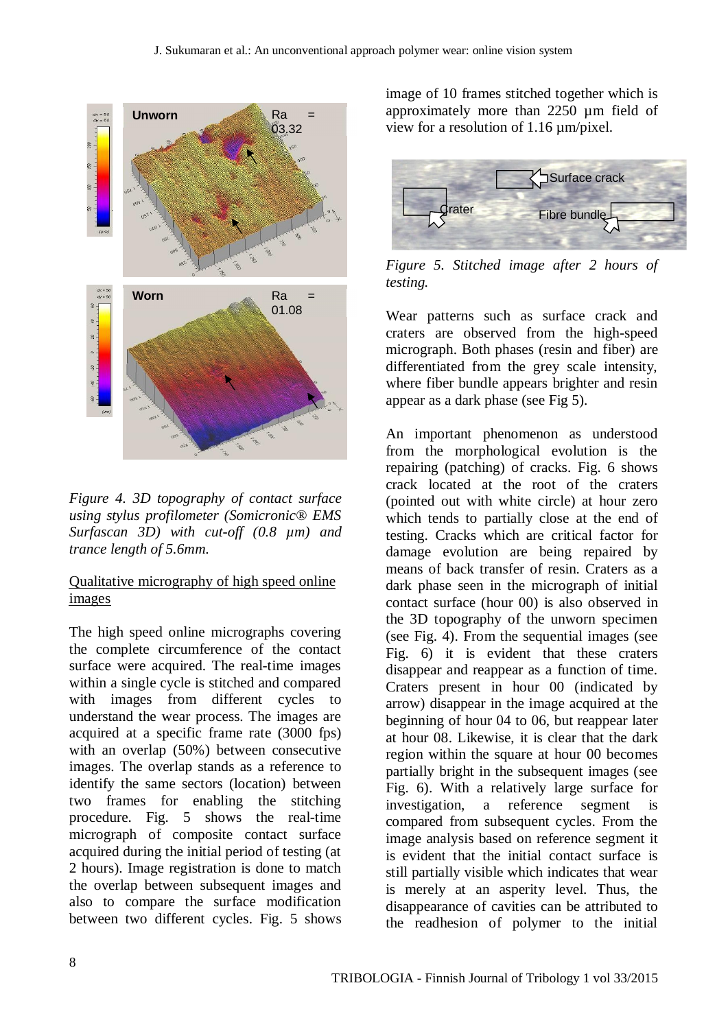

*Figure 4. 3D topography of contact surface using stylus profilometer (Somicronic® EMS Surfascan 3D) with cut-off (0.8 µm) and trance length of 5.6mm*.

## Qualitative micrography of high speed online images

The high speed online micrographs covering the complete circumference of the contact surface were acquired. The real-time images within a single cycle is stitched and compared with images from different cycles to understand the wear process. The images are acquired at a specific frame rate (3000 fps) with an overlap (50%) between consecutive images. The overlap stands as a reference to identify the same sectors (location) between two frames for enabling the stitching procedure. Fig. 5 shows the real-time micrograph of composite contact surface acquired during the initial period of testing (at 2 hours). Image registration is done to match the overlap between subsequent images and also to compare the surface modification between two different cycles. Fig. 5 shows

image of 10 frames stitched together which is approximately more than 2250 µm field of view for a resolution of 1.16 µm/pixel.



*Figure 5. Stitched image after 2 hours of testing.*

Wear patterns such as surface crack and craters are observed from the high-speed micrograph. Both phases (resin and fiber) are differentiated from the grey scale intensity, where fiber bundle appears brighter and resin appear as a dark phase (see Fig 5).

An important phenomenon as understood from the morphological evolution is the repairing (patching) of cracks. Fig. 6 shows crack located at the root of the craters (pointed out with white circle) at hour zero which tends to partially close at the end of testing. Cracks which are critical factor for damage evolution are being repaired by means of back transfer of resin. Craters as a dark phase seen in the micrograph of initial contact surface (hour 00) is also observed in the 3D topography of the unworn specimen (see Fig. 4). From the sequential images (see Fig. 6) it is evident that these craters disappear and reappear as a function of time. Craters present in hour 00 (indicated by arrow) disappear in the image acquired at the beginning of hour 04 to 06, but reappear later at hour 08. Likewise, it is clear that the dark region within the square at hour 00 becomes partially bright in the subsequent images (see Fig. 6). With a relatively large surface for investigation, a reference segment is compared from subsequent cycles. From the image analysis based on reference segment it is evident that the initial contact surface is still partially visible which indicates that wear is merely at an asperity level. Thus, the disappearance of cavities can be attributed to the readhesion of polymer to the initial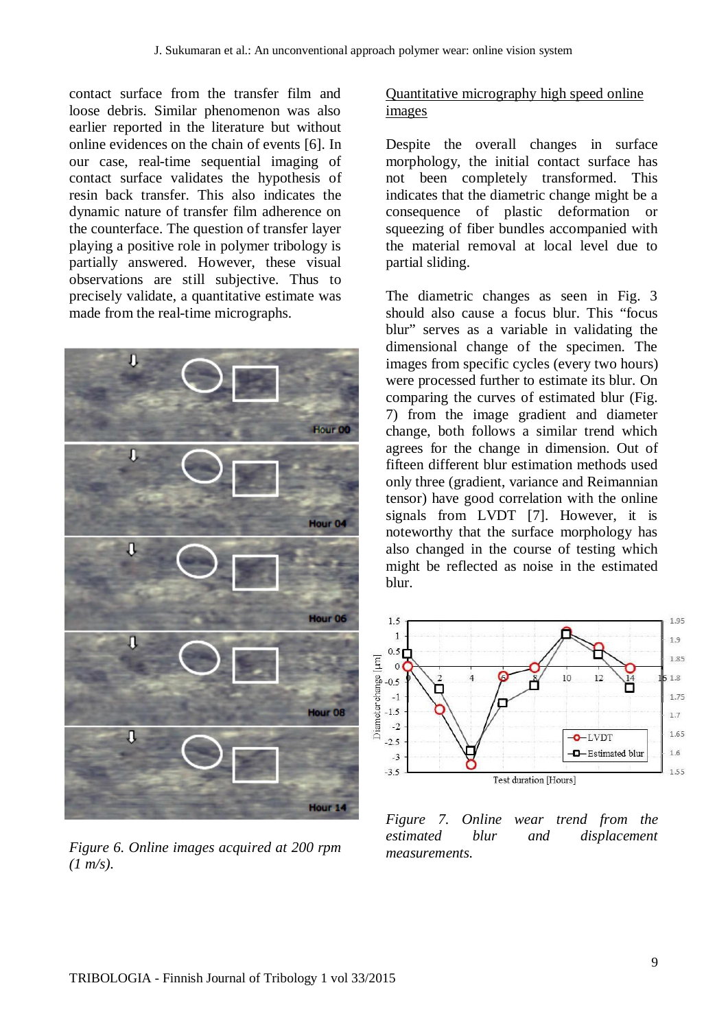contact surface from the transfer film and loose debris. Similar phenomenon was also earlier reported in the literature but without online evidences on the chain of events [6]. In our case, real-time sequential imaging of contact surface validates the hypothesis of resin back transfer. This also indicates the dynamic nature of transfer film adherence on the counterface. The question of transfer layer playing a positive role in polymer tribology is partially answered. However, these visual observations are still subjective. Thus to precisely validate, a quantitative estimate was made from the real-time micrographs.



*Figure 6. Online images acquired at 200 rpm (1 m/s).*

## Quantitative micrography high speed online images

Despite the overall changes in surface morphology, the initial contact surface has not been completely transformed. This indicates that the diametric change might be a consequence of plastic deformation or squeezing of fiber bundles accompanied with the material removal at local level due to partial sliding.

The diametric changes as seen in Fig. 3 should also cause a focus blur. This "focus blur" serves as a variable in validating the dimensional change of the specimen. The images from specific cycles (every two hours) were processed further to estimate its blur. On comparing the curves of estimated blur (Fig. 7) from the image gradient and diameter change, both follows a similar trend which agrees for the change in dimension. Out of fifteen different blur estimation methods used only three (gradient, variance and Reimannian tensor) have good correlation with the online signals from LVDT [7]. However, it is noteworthy that the surface morphology has also changed in the course of testing which might be reflected as noise in the estimated blur.



*Figure 7. Online wear trend from the estimated blur and displacement measurements.*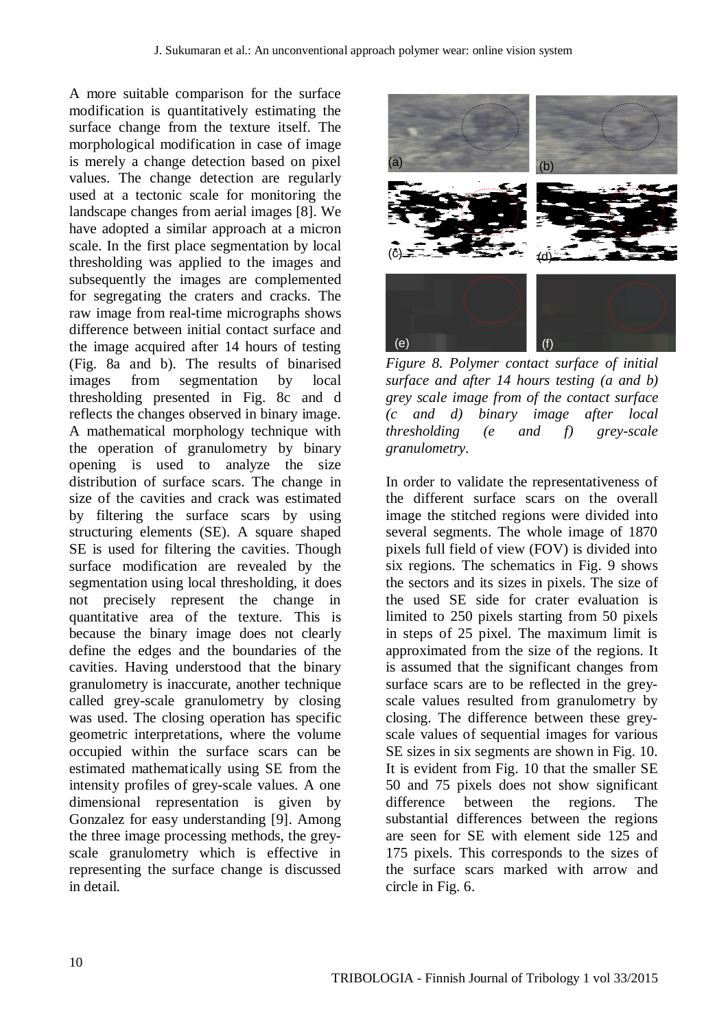A more suitable comparison for the surface modification is quantitatively estimating the surface change from the texture itself. The morphological modification in case of image is merely a change detection based on pixel values. The change detection are regularly used at a tectonic scale for monitoring the landscape changes from aerial images [8]. We have adopted a similar approach at a micron scale. In the first place segmentation by local thresholding was applied to the images and subsequently the images are complemented for segregating the craters and cracks. The raw image from real-time micrographs shows difference between initial contact surface and the image acquired after 14 hours of testing (Fig. 8a and b). The results of binarised images from segmentation by local thresholding presented in Fig. 8c and d reflects the changes observed in binary image. A mathematical morphology technique with the operation of granulometry by binary opening is used to analyze the size distribution of surface scars. The change in size of the cavities and crack was estimated by filtering the surface scars by using structuring elements (SE). A square shaped SE is used for filtering the cavities. Though surface modification are revealed by the segmentation using local thresholding, it does not precisely represent the change in quantitative area of the texture. This is because the binary image does not clearly define the edges and the boundaries of the cavities. Having understood that the binary granulometry is inaccurate, another technique called grey-scale granulometry by closing was used. The closing operation has specific geometric interpretations, where the volume occupied within the surface scars can be estimated mathematically using SE from the intensity profiles of grey-scale values. A one dimensional representation is given by Gonzalez for easy understanding [9]. Among the three image processing methods, the greyscale granulometry which is effective in representing the surface change is discussed in detail.



*Figure 8. Polymer contact surface of initial surface and after 14 hours testing (a and b) grey scale image from of the contact surface (c and d) binary image after local thresholding (e and f) grey-scale granulometry.*

In order to validate the representativeness of the different surface scars on the overall image the stitched regions were divided into several segments. The whole image of 1870 pixels full field of view (FOV) is divided into six regions. The schematics in Fig. 9 shows the sectors and its sizes in pixels. The size of the used SE side for crater evaluation is limited to 250 pixels starting from 50 pixels in steps of 25 pixel. The maximum limit is approximated from the size of the regions. It is assumed that the significant changes from surface scars are to be reflected in the greyscale values resulted from granulometry by closing. The difference between these greyscale values of sequential images for various SE sizes in six segments are shown in Fig. 10. It is evident from Fig. 10 that the smaller SE 50 and 75 pixels does not show significant difference between the regions. The substantial differences between the regions are seen for SE with element side 125 and 175 pixels. This corresponds to the sizes of the surface scars marked with arrow and circle in Fig. 6.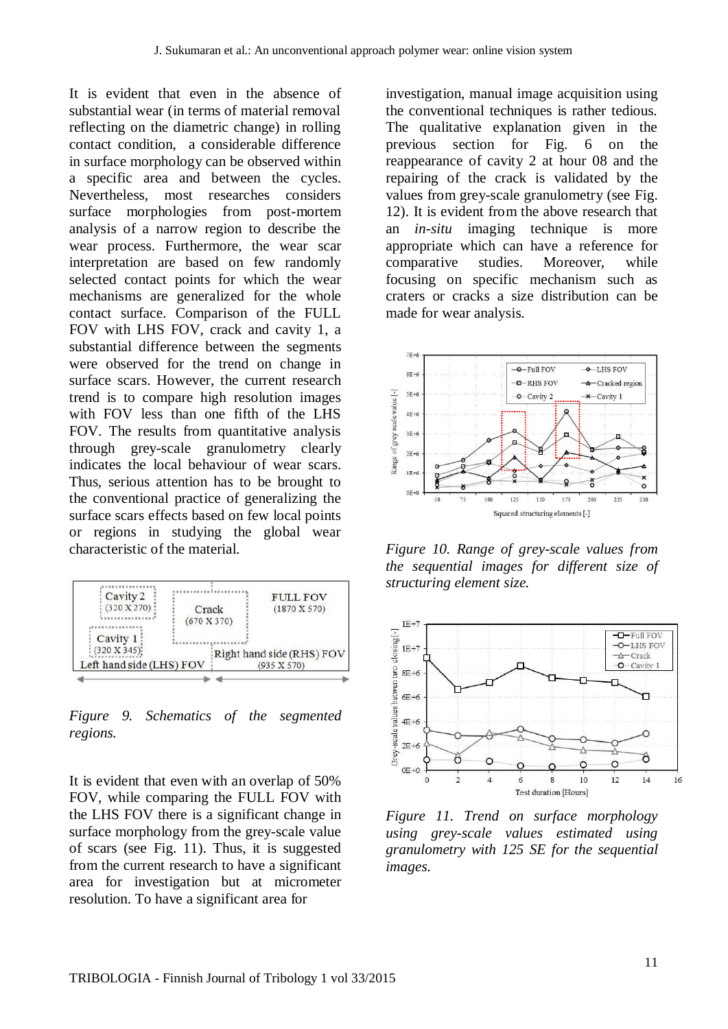It is evident that even in the absence of substantial wear (in terms of material removal reflecting on the diametric change) in rolling contact condition, a considerable difference in surface morphology can be observed within a specific area and between the cycles. Nevertheless, most researches considers surface morphologies from post-mortem analysis of a narrow region to describe the wear process. Furthermore, the wear scar interpretation are based on few randomly selected contact points for which the wear mechanisms are generalized for the whole contact surface. Comparison of the FULL FOV with LHS FOV, crack and cavity 1, a substantial difference between the segments were observed for the trend on change in surface scars. However, the current research trend is to compare high resolution images with FOV less than one fifth of the LHS FOV. The results from quantitative analysis through grey-scale granulometry clearly indicates the local behaviour of wear scars. Thus, serious attention has to be brought to the conventional practice of generalizing the surface scars effects based on few local points or regions in studying the global wear characteristic of the material.



*Figure 9. Schematics of the segmented regions.*

It is evident that even with an overlap of 50% FOV, while comparing the FULL FOV with the LHS FOV there is a significant change in surface morphology from the grey-scale value of scars (see Fig. 11). Thus, it is suggested from the current research to have a significant area for investigation but at micrometer resolution. To have a significant area for

investigation, manual image acquisition using the conventional techniques is rather tedious. The qualitative explanation given in the previous section for Fig. 6 on the reappearance of cavity 2 at hour 08 and the repairing of the crack is validated by the values from grey-scale granulometry (see Fig. 12). It is evident from the above research that an *in-situ* imaging technique is more appropriate which can have a reference for comparative studies. Moreover, while focusing on specific mechanism such as craters or cracks a size distribution can be made for wear analysis.



*Figure 10. Range of grey-scale values from the sequential images for different size of structuring element size.*



*Figure 11. Trend on surface morphology using grey-scale values estimated using granulometry with 125 SE for the sequential images.*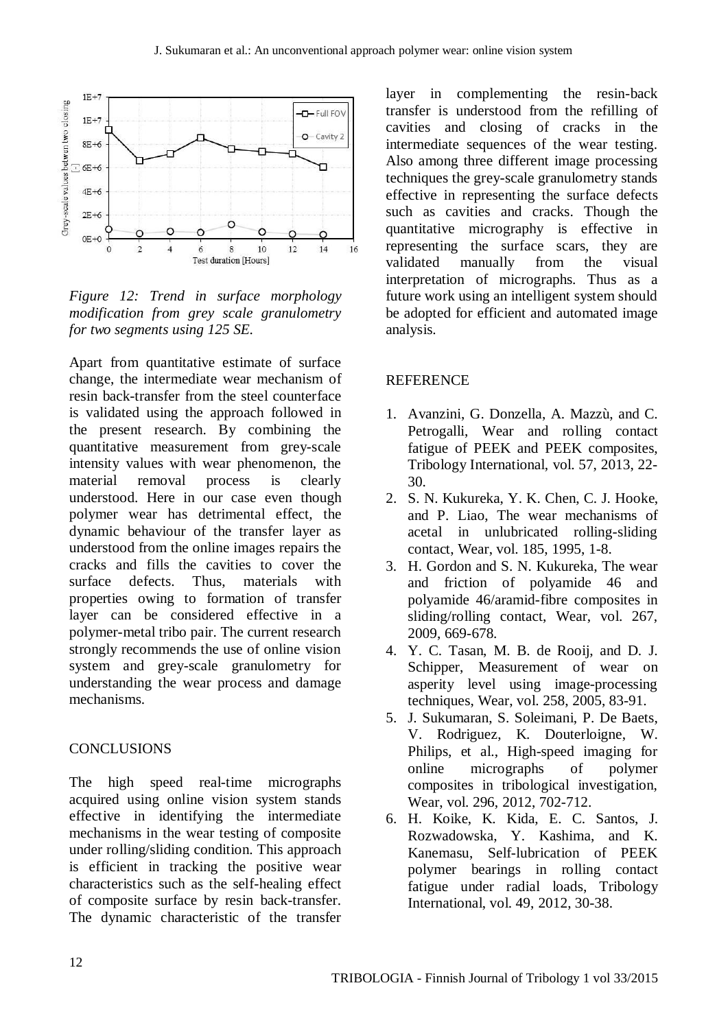

*Figure 12: Trend in surface morphology modification from grey scale granulometry for two segments using 125 SE.*

Apart from quantitative estimate of surface change, the intermediate wear mechanism of resin back-transfer from the steel counterface is validated using the approach followed in the present research. By combining the quantitative measurement from grey-scale intensity values with wear phenomenon, the material removal process is clearly understood. Here in our case even though polymer wear has detrimental effect, the dynamic behaviour of the transfer layer as understood from the online images repairs the cracks and fills the cavities to cover the surface defects. Thus, materials with properties owing to formation of transfer layer can be considered effective in a polymer-metal tribo pair. The current research strongly recommends the use of online vision system and grey-scale granulometry for understanding the wear process and damage mechanisms.

### **CONCLUSIONS**

The high speed real-time micrographs acquired using online vision system stands effective in identifying the intermediate mechanisms in the wear testing of composite under rolling/sliding condition. This approach is efficient in tracking the positive wear characteristics such as the self-healing effect of composite surface by resin back-transfer. The dynamic characteristic of the transfer

layer in complementing the resin-back transfer is understood from the refilling of cavities and closing of cracks in the intermediate sequences of the wear testing. Also among three different image processing techniques the grey-scale granulometry stands effective in representing the surface defects such as cavities and cracks. Though the quantitative micrography is effective in representing the surface scars, they are validated manually from the visual interpretation of micrographs. Thus as a future work using an intelligent system should be adopted for efficient and automated image analysis.

### REFERENCE

- 1. Avanzini, G. Donzella, A. Mazzù, and C. Petrogalli, Wear and rolling contact fatigue of PEEK and PEEK composites, Tribology International, vol. 57, 2013, 22- 30.
- 2. S. N. Kukureka, Y. K. Chen, C. J. Hooke, and P. Liao, The wear mechanisms of acetal in unlubricated rolling-sliding contact, Wear, vol. 185, 1995, 1-8.
- 3. H. Gordon and S. N. Kukureka, The wear and friction of polyamide 46 and polyamide 46/aramid-fibre composites in sliding/rolling contact, Wear, vol. 267, 2009, 669-678.
- 4. Y. C. Tasan, M. B. de Rooij, and D. J. Schipper, Measurement of wear on asperity level using image-processing techniques, Wear, vol. 258, 2005, 83-91.
- 5. J. Sukumaran, S. Soleimani, P. De Baets, V. Rodriguez, K. Douterloigne, W. Philips, et al., High-speed imaging for online micrographs of polymer composites in tribological investigation, Wear, vol. 296, 2012, 702-712.
- 6. H. Koike, K. Kida, E. C. Santos, J. Rozwadowska, Y. Kashima, and K. Kanemasu, Self-lubrication of PEEK polymer bearings in rolling contact fatigue under radial loads, Tribology International, vol. 49, 2012, 30-38.